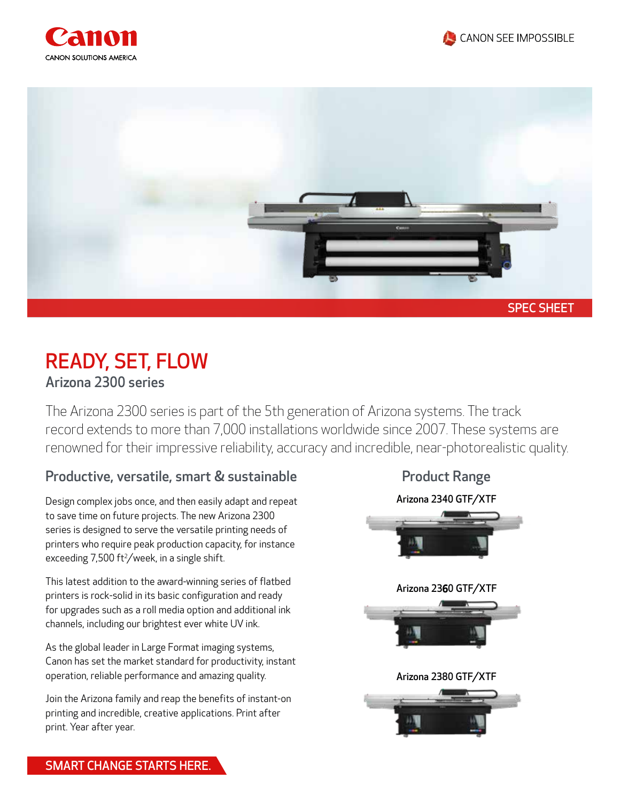





### READY, SET, FLOW Arizona 2300 series

The Arizona 2300 series is part of the 5th generation of Arizona systems. The track record extends to more than 7,000 installations worldwide since 2007. These systems are renowned for their impressive reliability, accuracy and incredible, near-photorealistic quality.

### Productive, versatile, smart & sustainable

Design complex jobs once, and then easily adapt and repeat to save time on future projects. The new Arizona 2300 series is designed to serve the versatile printing needs of printers who require peak production capacity, for instance exceeding 7,500 ft $^2$ /week, in a single shift.

This latest addition to the award-winning series of flatbed printers is rock-solid in its basic configuration and ready for upgrades such as a roll media option and additional ink channels, including our brightest ever white UV ink.

As the global leader in Large Format imaging systems, Canon has set the market standard for productivity, instant operation, reliable performance and amazing quality.

Join the Arizona family and reap the benefits of instant-on printing and incredible, creative applications. Print after print. Year after year.



#### SMART CHANGE STARTS HERE.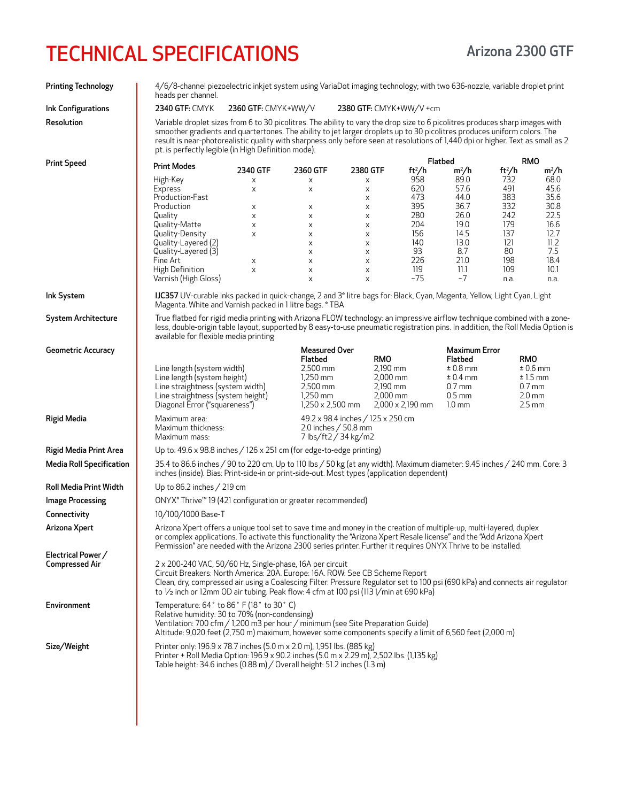# TECHNICAL SPECIFICATIONS Arizona 2300 GTF

| <b>Printing Technology</b>                 | 4/6/8-channel piezoelectric inkjet system using VariaDot imaging technology; with two 636-nozzle, variable droplet print<br>heads per channel.                                                                                                                                                                                                                                                                                                     |                                                                                                                                                                                                                         |                                                                                        |               |                                                                                      |                           |                                                                                 |                           |                                                                                   |  |  |
|--------------------------------------------|----------------------------------------------------------------------------------------------------------------------------------------------------------------------------------------------------------------------------------------------------------------------------------------------------------------------------------------------------------------------------------------------------------------------------------------------------|-------------------------------------------------------------------------------------------------------------------------------------------------------------------------------------------------------------------------|----------------------------------------------------------------------------------------|---------------|--------------------------------------------------------------------------------------|---------------------------|---------------------------------------------------------------------------------|---------------------------|-----------------------------------------------------------------------------------|--|--|
| Ink Configurations                         | 2340 GTF: CMYK<br>2380 GTF: CMYK+WW/V +cm<br>2360 GTF: CMYK+WW/V                                                                                                                                                                                                                                                                                                                                                                                   |                                                                                                                                                                                                                         |                                                                                        |               |                                                                                      |                           |                                                                                 |                           |                                                                                   |  |  |
| <b>Resolution</b>                          | Variable droplet sizes from 6 to 30 picolitres. The ability to vary the drop size to 6 picolitres produces sharp images with<br>smoother gradients and quartertones. The ability to jet larger droplets up to 30 picolitres produces uniform colors. The<br>result is near-photorealistic quality with sharpness only before seen at resolutions of 1,440 dpi or higher. Text as small as 2<br>pt. is perfectly legible (in High Definition mode). |                                                                                                                                                                                                                         |                                                                                        |               |                                                                                      |                           |                                                                                 |                           |                                                                                   |  |  |
| <b>Print Speed</b>                         | <b>Print Modes</b>                                                                                                                                                                                                                                                                                                                                                                                                                                 |                                                                                                                                                                                                                         |                                                                                        |               |                                                                                      |                           | <b>Flatbed</b>                                                                  |                           | <b>RMO</b>                                                                        |  |  |
|                                            | High-Key                                                                                                                                                                                                                                                                                                                                                                                                                                           | 2340 GTF<br>X                                                                                                                                                                                                           | 2360 GTF<br>X                                                                          | 2380 GTF<br>X |                                                                                      | ft <sup>2</sup> /h<br>958 | $m^2/h$<br>89.0                                                                 | ft <sup>2</sup> /h<br>732 | $m^2/h$<br>68.0                                                                   |  |  |
|                                            | Express                                                                                                                                                                                                                                                                                                                                                                                                                                            | X                                                                                                                                                                                                                       | X                                                                                      | X             |                                                                                      | 620                       | 57.6                                                                            | 491                       | 45.6                                                                              |  |  |
|                                            | Production-Fast                                                                                                                                                                                                                                                                                                                                                                                                                                    |                                                                                                                                                                                                                         |                                                                                        | X             |                                                                                      | 473                       | 44.0                                                                            | 383                       | 35.6                                                                              |  |  |
|                                            | Production<br>Quality                                                                                                                                                                                                                                                                                                                                                                                                                              | X                                                                                                                                                                                                                       | X                                                                                      | X             |                                                                                      | 395<br>280                | 36.7<br>26.0                                                                    | 332<br>242                | 30.8<br>22.5                                                                      |  |  |
|                                            | Quality-Matte                                                                                                                                                                                                                                                                                                                                                                                                                                      | X<br>X                                                                                                                                                                                                                  | X<br>X                                                                                 | X<br>X        |                                                                                      | 204                       | 19.0                                                                            | 179                       | 16.6                                                                              |  |  |
|                                            | Quality-Density                                                                                                                                                                                                                                                                                                                                                                                                                                    | X                                                                                                                                                                                                                       | X                                                                                      | X             |                                                                                      | 156                       | 14.5                                                                            | 137                       | 12.7                                                                              |  |  |
|                                            | Quality-Layered (2)                                                                                                                                                                                                                                                                                                                                                                                                                                |                                                                                                                                                                                                                         | X                                                                                      | X             |                                                                                      | 140                       | 13.0                                                                            | 121                       | 11.2                                                                              |  |  |
|                                            | Quality-Layered (3)<br>Fine Art                                                                                                                                                                                                                                                                                                                                                                                                                    |                                                                                                                                                                                                                         | X                                                                                      | X             |                                                                                      | 93<br>226                 | 8.7<br>21.0                                                                     | 80<br>198                 | 7.5<br>18.4                                                                       |  |  |
|                                            | High Definition                                                                                                                                                                                                                                                                                                                                                                                                                                    | X<br>X                                                                                                                                                                                                                  | X<br>X                                                                                 | X<br>X        |                                                                                      | 119                       | 11.1                                                                            | 109                       | 10.1                                                                              |  |  |
|                                            | Varnish (High Gloss)                                                                                                                                                                                                                                                                                                                                                                                                                               |                                                                                                                                                                                                                         | $\mathsf{x}$                                                                           | $\mathsf{X}$  |                                                                                      | ~175                      | ~1                                                                              | n.a.                      | n.a.                                                                              |  |  |
| Ink System                                 | IJC357 UV-curable inks packed in quick-change, 2 and 3* litre bags for: Black, Cyan, Magenta, Yellow, Light Cyan, Light<br>Magenta. White and Varnish packed in 1 litre bags. * TBA                                                                                                                                                                                                                                                                |                                                                                                                                                                                                                         |                                                                                        |               |                                                                                      |                           |                                                                                 |                           |                                                                                   |  |  |
| <b>System Architecture</b>                 | True flatbed for rigid media printing with Arizona FLOW technology: an impressive airflow technique combined with a zone-<br>less, double-origin table layout, supported by 8 easy-to-use pneumatic registration pins. In addition, the Roll Media Option is<br>available for flexible media printing                                                                                                                                              |                                                                                                                                                                                                                         |                                                                                        |               |                                                                                      |                           |                                                                                 |                           |                                                                                   |  |  |
| <b>Geometric Accuracy</b>                  |                                                                                                                                                                                                                                                                                                                                                                                                                                                    |                                                                                                                                                                                                                         | <b>Measured Over</b>                                                                   |               |                                                                                      |                           | <b>Maximum Error</b>                                                            |                           |                                                                                   |  |  |
|                                            | Line length (system width)<br>Line length (system height)<br>Line straightness (system width)<br>Line straightness (system height)<br>Diagonal Error ("squareness")                                                                                                                                                                                                                                                                                |                                                                                                                                                                                                                         | Flatbed<br>2,500 mm<br>$1,250$ mm<br>2,500 mm<br>$1,250$ mm<br>$1,250 \times 2,500$ mm |               | <b>RMO</b><br>$2,190$ mm<br>$2,000$ mm<br>2,190 mm<br>$2,000$ mm<br>2,000 x 2,190 mm |                           | Flatbed<br>$± 0.8$ mm<br>$± 0.4$ mm<br>$0.7$ mm<br>$0.5$ mm<br>$1.0 \text{ mm}$ |                           | <b>RMO</b><br>$± 0.6$ mm<br>$±1.5$ mm<br>$0.7$ mm<br>$2.0$ mm<br>$2.5 \text{ mm}$ |  |  |
| <b>Rigid Media</b>                         | Maximum area:<br>Maximum thickness:<br>Maximum mass:                                                                                                                                                                                                                                                                                                                                                                                               | 49.2 x 98.4 inches / 125 x 250 cm<br>2.0 inches $/$ 50.8 mm<br>7 lbs/ft2 / 34 kg/m2                                                                                                                                     |                                                                                        |               |                                                                                      |                           |                                                                                 |                           |                                                                                   |  |  |
| Rigid Media Print Area                     | Up to: $49.6 \times 98.8$ inches / 126 x 251 cm (for edge-to-edge printing)                                                                                                                                                                                                                                                                                                                                                                        |                                                                                                                                                                                                                         |                                                                                        |               |                                                                                      |                           |                                                                                 |                           |                                                                                   |  |  |
| <b>Media Roll Specification</b>            |                                                                                                                                                                                                                                                                                                                                                                                                                                                    | 35.4 to 86.6 inches / 90 to 220 cm. Up to 110 lbs / 50 kg (at any width). Maximum diameter: 9.45 inches / 240 mm. Core: 3<br>inches (inside). Bias: Print-side-in or print-side-out. Most types (application dependent) |                                                                                        |               |                                                                                      |                           |                                                                                 |                           |                                                                                   |  |  |
| <b>Roll Media Print Width</b>              | Up to 86.2 inches $/$ 219 cm                                                                                                                                                                                                                                                                                                                                                                                                                       |                                                                                                                                                                                                                         |                                                                                        |               |                                                                                      |                           |                                                                                 |                           |                                                                                   |  |  |
| <b>Image Processing</b>                    | ONYX® Thrive™ 19 (421 configuration or greater recommended)                                                                                                                                                                                                                                                                                                                                                                                        |                                                                                                                                                                                                                         |                                                                                        |               |                                                                                      |                           |                                                                                 |                           |                                                                                   |  |  |
| Connectivity                               | 10/100/1000 Base-T                                                                                                                                                                                                                                                                                                                                                                                                                                 |                                                                                                                                                                                                                         |                                                                                        |               |                                                                                      |                           |                                                                                 |                           |                                                                                   |  |  |
|                                            |                                                                                                                                                                                                                                                                                                                                                                                                                                                    |                                                                                                                                                                                                                         |                                                                                        |               |                                                                                      |                           |                                                                                 |                           |                                                                                   |  |  |
| Arizona Xpert                              | Arizona Xpert offers a unique tool set to save time and money in the creation of multiple-up, multi-layered, duplex<br>or complex applications. To activate this functionality the "Arizona Xpert Resale license" and the "Add Arizona Xpert<br>Permission" are needed with the Arizona 2300 series printer. Further it requires ONYX Thrive to be installed.                                                                                      |                                                                                                                                                                                                                         |                                                                                        |               |                                                                                      |                           |                                                                                 |                           |                                                                                   |  |  |
| Electrical Power/<br><b>Compressed Air</b> | 2 x 200-240 VAC, 50/60 Hz, Single-phase, 16A per circuit<br>Circuit Breakers: North America: 20A. Europe: 16A. ROW: See CB Scheme Report<br>Clean, dry, compressed air using a Coalescing Filter. Pressure Regulator set to 100 psi (690 kPa) and connects air regulator<br>to 1/2 inch or 12mm OD air tubing. Peak flow: 4 cfm at 100 psi (113 I/min at 690 kPa)                                                                                  |                                                                                                                                                                                                                         |                                                                                        |               |                                                                                      |                           |                                                                                 |                           |                                                                                   |  |  |
| Environment                                | Temperature: 64° to 86° F (18° to 30° C)<br>Relative humidity: 30 to 70% (non-condensing)<br>Ventilation: 700 cfm / 1,200 m3 per hour / minimum (see Site Preparation Guide)<br>Altitude: 9,020 feet (2,750 m) maximum, however some components specify a limit of 6,560 feet (2,000 m)                                                                                                                                                            |                                                                                                                                                                                                                         |                                                                                        |               |                                                                                      |                           |                                                                                 |                           |                                                                                   |  |  |
| Size/Weight                                | Printer only: 196.9 x 78.7 inches (5.0 m x 2.0 m), 1,951 lbs. (885 kg)<br>Printer + Roll Media Option: 196.9 x 90.2 inches (5.0 m x 2.29 m), 2,502 lbs. (1,135 kg)<br>Table height: 34.6 inches (0.88 m) / Overall height: 51.2 inches (1.3 m)                                                                                                                                                                                                     |                                                                                                                                                                                                                         |                                                                                        |               |                                                                                      |                           |                                                                                 |                           |                                                                                   |  |  |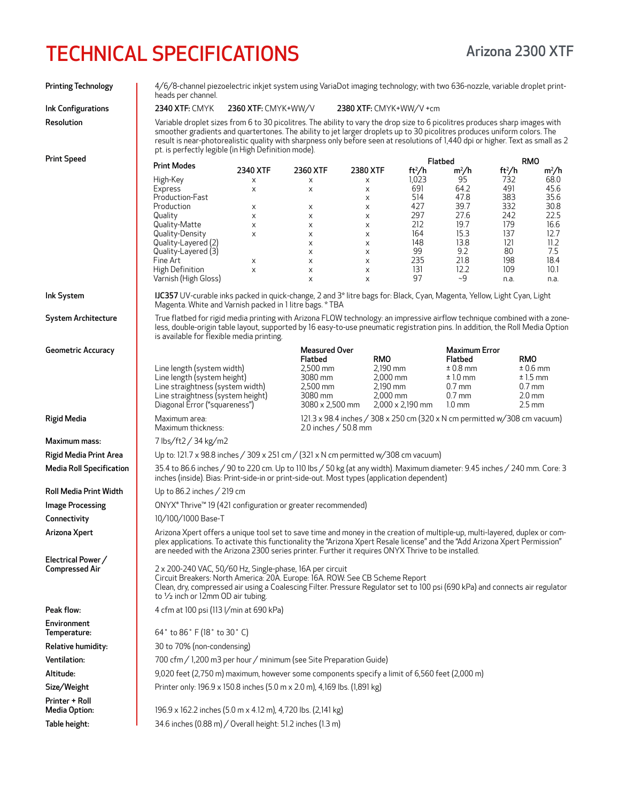# TECHNICAL SPECIFICATIONS Arizona 2300 XTF

| <b>Printing Technology</b>             | 4/6/8-channel piezoelectric inkjet system using VariaDot imaging technology; with two 636-nozzle, variable droplet print-<br>heads per channel.                                                                                                                                                                                                                                                                                                    |          |                       |                        |                         |                       |                    |                          |  |  |
|----------------------------------------|----------------------------------------------------------------------------------------------------------------------------------------------------------------------------------------------------------------------------------------------------------------------------------------------------------------------------------------------------------------------------------------------------------------------------------------------------|----------|-----------------------|------------------------|-------------------------|-----------------------|--------------------|--------------------------|--|--|
| Ink Configurations                     | 2340 XTF: CMYK<br>2360 XTF: CMYK+WW/V<br>2380 XTF: CMYK+WW/V +cm                                                                                                                                                                                                                                                                                                                                                                                   |          |                       |                        |                         |                       |                    |                          |  |  |
| <b>Resolution</b>                      | Variable droplet sizes from 6 to 30 picolitres. The ability to vary the drop size to 6 picolitres produces sharp images with<br>smoother gradients and quartertones. The ability to jet larger droplets up to 30 picolitres produces uniform colors. The<br>result is near-photorealistic quality with sharpness only before seen at resolutions of 1,440 dpi or higher. Text as small as 2<br>pt. is perfectly legible (in High Definition mode). |          |                       |                        |                         |                       |                    |                          |  |  |
| <b>Print Speed</b>                     |                                                                                                                                                                                                                                                                                                                                                                                                                                                    |          |                       |                        | Flatbed                 |                       | <b>RMO</b>         |                          |  |  |
|                                        | <b>Print Modes</b>                                                                                                                                                                                                                                                                                                                                                                                                                                 | 2340 XTF | 2360 XTF              | 2380 XTF               | ft <sup>2</sup> /h      | $m^2/h$               | ft <sup>2</sup> /h | $m^2/h$                  |  |  |
|                                        | High-Key<br><b>Express</b>                                                                                                                                                                                                                                                                                                                                                                                                                         | X<br>X   | X<br>X                | X<br>X                 | 1,023<br>691            | 95<br>64.2            | 732<br>491         | 68.0<br>45.6             |  |  |
|                                        | Production-Fast                                                                                                                                                                                                                                                                                                                                                                                                                                    |          |                       | X                      | 514                     | 47.8                  | 383                | 35.6                     |  |  |
|                                        | Production                                                                                                                                                                                                                                                                                                                                                                                                                                         | X        | X                     | X                      | 427                     | 39.7                  | 332                | 30.8                     |  |  |
|                                        | Quality<br>Quality-Matte                                                                                                                                                                                                                                                                                                                                                                                                                           | X<br>X   | X<br>X                | X<br>X                 | 297<br>212              | 27.6<br>19.7          | 242<br>179         | 22.5<br>16.6             |  |  |
|                                        | Quality-Density                                                                                                                                                                                                                                                                                                                                                                                                                                    | X        | X                     | X                      | 164                     | 15.3                  | 137                | 12.7                     |  |  |
|                                        | Quality-Layered (2)                                                                                                                                                                                                                                                                                                                                                                                                                                |          | X                     | Χ                      | 148                     | 13.8                  | 121                | 11.2                     |  |  |
|                                        | Quality-Layered (3)<br>Fine Art                                                                                                                                                                                                                                                                                                                                                                                                                    | X        | X<br>X                | X<br>X                 | 99<br>235               | 9.2<br>21.8           | 80<br>198          | 7.5<br>18.4              |  |  |
|                                        | <b>High Definition</b>                                                                                                                                                                                                                                                                                                                                                                                                                             | Χ        | X                     | X                      | 131                     | 12.2                  | 109                | 10.1                     |  |  |
|                                        | Varnish (High Gloss)                                                                                                                                                                                                                                                                                                                                                                                                                               |          | X                     | X                      | 97                      | $\sim$ 9              | n.a.               | n.a.                     |  |  |
| Ink System                             | IJC357 UV-curable inks packed in quick-change, 2 and 3* litre bags for: Black, Cyan, Magenta, Yellow, Light Cyan, Light<br>Magenta. White and Varnish packed in 1 litre bags. * TBA                                                                                                                                                                                                                                                                |          |                       |                        |                         |                       |                    |                          |  |  |
| <b>System Architecture</b>             | True flatbed for rigid media printing with Arizona FLOW technology: an impressive airflow technique combined with a zone-<br>less, double-origin table layout, supported by 16 easy-to-use pneumatic registration pins. In addition, the Roll Media Option<br>is available for flexible media printing.                                                                                                                                            |          |                       |                        |                         |                       |                    |                          |  |  |
| <b>Geometric Accuracy</b>              |                                                                                                                                                                                                                                                                                                                                                                                                                                                    |          | <b>Measured Over</b>  |                        |                         | <b>Maximum Error</b>  |                    |                          |  |  |
|                                        |                                                                                                                                                                                                                                                                                                                                                                                                                                                    |          | Flatbed               | <b>RMO</b>             |                         | Flatbed<br>$± 0.8$ mm |                    | <b>RMO</b><br>$± 0.6$ mm |  |  |
|                                        | Line length (system width)<br>Line length (system height)                                                                                                                                                                                                                                                                                                                                                                                          |          | $2,500$ mm<br>3080 mm | 2,190 mm<br>$2,000$ mm |                         | $±1.0$ mm             |                    | $±1.5$ mm                |  |  |
|                                        | Line straightness (system width)                                                                                                                                                                                                                                                                                                                                                                                                                   |          | $2,500$ mm            | 2,190 mm               |                         | $0.7$ mm              |                    | $0.7$ mm                 |  |  |
|                                        | Line straightness (system height)                                                                                                                                                                                                                                                                                                                                                                                                                  |          | 3080 mm               | $2,000$ mm             |                         | $0.7$ mm              |                    | $2.0 \text{ mm}$         |  |  |
|                                        | Diagonal Error ("squareness")                                                                                                                                                                                                                                                                                                                                                                                                                      |          | 3080 x 2,500 mm       |                        | $2,000 \times 2,190$ mm | $1.0 \text{ mm}$      |                    | $2.5 \text{ mm}$         |  |  |
| <b>Rigid Media</b>                     | Maximum area:<br>121.3 x 98.4 inches $/$ 308 x 250 cm (320 x N cm permitted w/308 cm vacuum)<br>Maximum thickness:<br>2.0 inches $/$ 50.8 mm                                                                                                                                                                                                                                                                                                       |          |                       |                        |                         |                       |                    |                          |  |  |
| Maximum mass:                          | 7 lbs/ft2 / 34 kg/m2                                                                                                                                                                                                                                                                                                                                                                                                                               |          |                       |                        |                         |                       |                    |                          |  |  |
| Rigid Media Print Area                 | Up to: 121.7 x 98.8 inches / 309 x 251 cm / $(321 \times N$ cm permitted w/308 cm vacuum)                                                                                                                                                                                                                                                                                                                                                          |          |                       |                        |                         |                       |                    |                          |  |  |
| <b>Media Roll Specification</b>        | 35.4 to 86.6 inches / 90 to 220 cm. Up to 110 lbs / 50 kg (at any width). Maximum diameter: 9.45 inches / 240 mm. Core: 3<br>inches (inside). Bias: Print-side-in or print-side-out. Most types (application dependent)                                                                                                                                                                                                                            |          |                       |                        |                         |                       |                    |                          |  |  |
| <b>Roll Media Print Width</b>          | Up to 86.2 inches $/$ 219 cm                                                                                                                                                                                                                                                                                                                                                                                                                       |          |                       |                        |                         |                       |                    |                          |  |  |
| <b>Image Processing</b>                | ONYX® Thrive™ 19 (421 configuration or greater recommended)                                                                                                                                                                                                                                                                                                                                                                                        |          |                       |                        |                         |                       |                    |                          |  |  |
| Connectivity                           | 10/100/1000 Base-T                                                                                                                                                                                                                                                                                                                                                                                                                                 |          |                       |                        |                         |                       |                    |                          |  |  |
| Arizona Xpert                          | Arizona Xpert offers a unique tool set to save time and money in the creation of multiple-up, multi-layered, duplex or com-                                                                                                                                                                                                                                                                                                                        |          |                       |                        |                         |                       |                    |                          |  |  |
|                                        | plex applications. To activate this functionality the "Arizona Xpert Resale license" and the "Add Arizona Xpert Permission"<br>are needed with the Arizona 2300 series printer. Further it requires ONYX Thrive to be installed.                                                                                                                                                                                                                   |          |                       |                        |                         |                       |                    |                          |  |  |
| Electrical Power/                      |                                                                                                                                                                                                                                                                                                                                                                                                                                                    |          |                       |                        |                         |                       |                    |                          |  |  |
| <b>Compressed Air</b>                  | 2 x 200-240 VAC, 50/60 Hz, Single-phase, 16A per circuit<br>Circuit Breakers: North America: 20A. Europe: 16A. ROW: See CB Scheme Report                                                                                                                                                                                                                                                                                                           |          |                       |                        |                         |                       |                    |                          |  |  |
|                                        | Clean, dry, compressed air using a Coalescing Filter. Pressure Regulator set to 100 psi (690 kPa) and connects air regulator                                                                                                                                                                                                                                                                                                                       |          |                       |                        |                         |                       |                    |                          |  |  |
|                                        | to 1/2 inch or 12mm OD air tubing.                                                                                                                                                                                                                                                                                                                                                                                                                 |          |                       |                        |                         |                       |                    |                          |  |  |
| Peak flow:                             | 4 cfm at 100 psi (113 l/min at 690 kPa)                                                                                                                                                                                                                                                                                                                                                                                                            |          |                       |                        |                         |                       |                    |                          |  |  |
| Environment<br>Temperature:            | 64° to 86° F (18° to 30° C)                                                                                                                                                                                                                                                                                                                                                                                                                        |          |                       |                        |                         |                       |                    |                          |  |  |
| Relative humidity:                     | 30 to 70% (non-condensing)                                                                                                                                                                                                                                                                                                                                                                                                                         |          |                       |                        |                         |                       |                    |                          |  |  |
| Ventilation:                           | 700 cfm / 1,200 m3 per hour / minimum (see Site Preparation Guide)                                                                                                                                                                                                                                                                                                                                                                                 |          |                       |                        |                         |                       |                    |                          |  |  |
| Altitude:                              | 9,020 feet (2,750 m) maximum, however some components specify a limit of 6,560 feet (2,000 m)                                                                                                                                                                                                                                                                                                                                                      |          |                       |                        |                         |                       |                    |                          |  |  |
|                                        | Printer only: 196.9 x 150.8 inches (5.0 m x 2.0 m), 4,169 lbs. (1,891 kg)                                                                                                                                                                                                                                                                                                                                                                          |          |                       |                        |                         |                       |                    |                          |  |  |
| Size/Weight                            |                                                                                                                                                                                                                                                                                                                                                                                                                                                    |          |                       |                        |                         |                       |                    |                          |  |  |
| Printer + Roll<br><b>Media Option:</b> | 196.9 x 162.2 inches (5.0 m x 4.12 m), 4,720 lbs. (2,141 kg)                                                                                                                                                                                                                                                                                                                                                                                       |          |                       |                        |                         |                       |                    |                          |  |  |
| Table height:                          | 34.6 inches (0.88 m) / Overall height: 51.2 inches (1.3 m)                                                                                                                                                                                                                                                                                                                                                                                         |          |                       |                        |                         |                       |                    |                          |  |  |